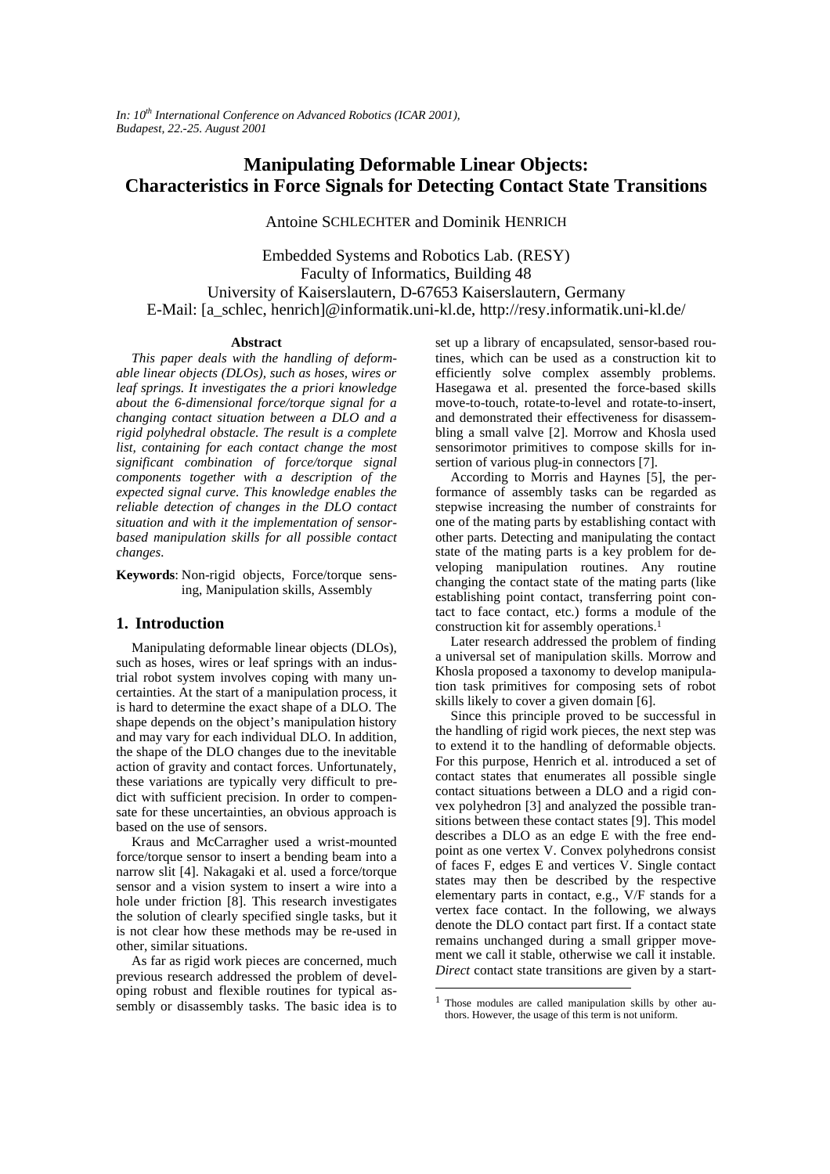*In: 10th International Conference on Advanced Robotics (ICAR 2001), Budapest, 22.-25. August 2001*

# **Manipulating Deformable Linear Objects: Characteristics in Force Signals for Detecting Contact State Transitions**

Antoine SCHLECHTER and Dominik HENRICH

Embedded Systems and Robotics Lab. (RESY) Faculty of Informatics, Building 48 University of Kaiserslautern, D-67653 Kaiserslautern, Germany E-Mail: [a\_schlec, henrich]@informatik.uni-kl.de, http://resy.informatik.uni-kl.de/

#### **Abstract**

*This paper deals with the handling of deformable linear objects (DLOs), such as hoses, wires or leaf springs. It investigates the a priori knowledge about the 6-dimensional force/torque signal for a changing contact situation between a DLO and a rigid polyhedral obstacle. The result is a complete list, containing for each contact change the most significant combination of force/torque signal components together with a description of the expected signal curve. This knowledge enables the reliable detection of changes in the DLO contact situation and with it the implementation of sensorbased manipulation skills for all possible contact changes.*

**Keywords**: Non-rigid objects, Force/torque sensing, Manipulation skills, Assembly

# **1. Introduction**

Manipulating deformable linear objects (DLOs), such as hoses, wires or leaf springs with an industrial robot system involves coping with many uncertainties. At the start of a manipulation process, it is hard to determine the exact shape of a DLO. The shape depends on the object's manipulation history and may vary for each individual DLO. In addition, the shape of the DLO changes due to the inevitable action of gravity and contact forces. Unfortunately, these variations are typically very difficult to predict with sufficient precision. In order to compensate for these uncertainties, an obvious approach is based on the use of sensors.

Kraus and McCarragher used a wrist-mounted force/torque sensor to insert a bending beam into a narrow slit [4]. Nakagaki et al. used a force/torque sensor and a vision system to insert a wire into a hole under friction [8]. This research investigates the solution of clearly specified single tasks, but it is not clear how these methods may be re-used in other, similar situations.

As far as rigid work pieces are concerned, much previous research addressed the problem of developing robust and flexible routines for typical assembly or disassembly tasks. The basic idea is to

set up a library of encapsulated, sensor-based routines, which can be used as a construction kit to efficiently solve complex assembly problems. Hasegawa et al. presented the force-based skills move-to-touch, rotate-to-level and rotate-to-insert, and demonstrated their effectiveness for disassembling a small valve [2]. Morrow and Khosla used sensorimotor primitives to compose skills for insertion of various plug-in connectors [7].

According to Morris and Haynes [5], the performance of assembly tasks can be regarded as stepwise increasing the number of constraints for one of the mating parts by establishing contact with other parts. Detecting and manipulating the contact state of the mating parts is a key problem for developing manipulation routines. Any routine changing the contact state of the mating parts (like establishing point contact, transferring point contact to face contact, etc.) forms a module of the construction kit for assembly operations.<sup>1</sup>

Later research addressed the problem of finding a universal set of manipulation skills. Morrow and Khosla proposed a taxonomy to develop manipulation task primitives for composing sets of robot skills likely to cover a given domain [6].

Since this principle proved to be successful in the handling of rigid work pieces, the next step was to extend it to the handling of deformable objects. For this purpose, Henrich et al. introduced a set of contact states that enumerates all possible single contact situations between a DLO and a rigid convex polyhedron [3] and analyzed the possible transitions between these contact states [9]. This model describes a DLO as an edge E with the free endpoint as one vertex V. Convex polyhedrons consist of faces F, edges E and vertices V. Single contact states may then be described by the respective elementary parts in contact, e.g., V/F stands for a vertex face contact. In the following, we always denote the DLO contact part first. If a contact state remains unchanged during a small gripper movement we call it stable, otherwise we call it instable. *Direct* contact state transitions are given by a start-

 $\overline{a}$ 

 $1$  Those modules are called manipulation skills by other authors. However, the usage of this term is not uniform.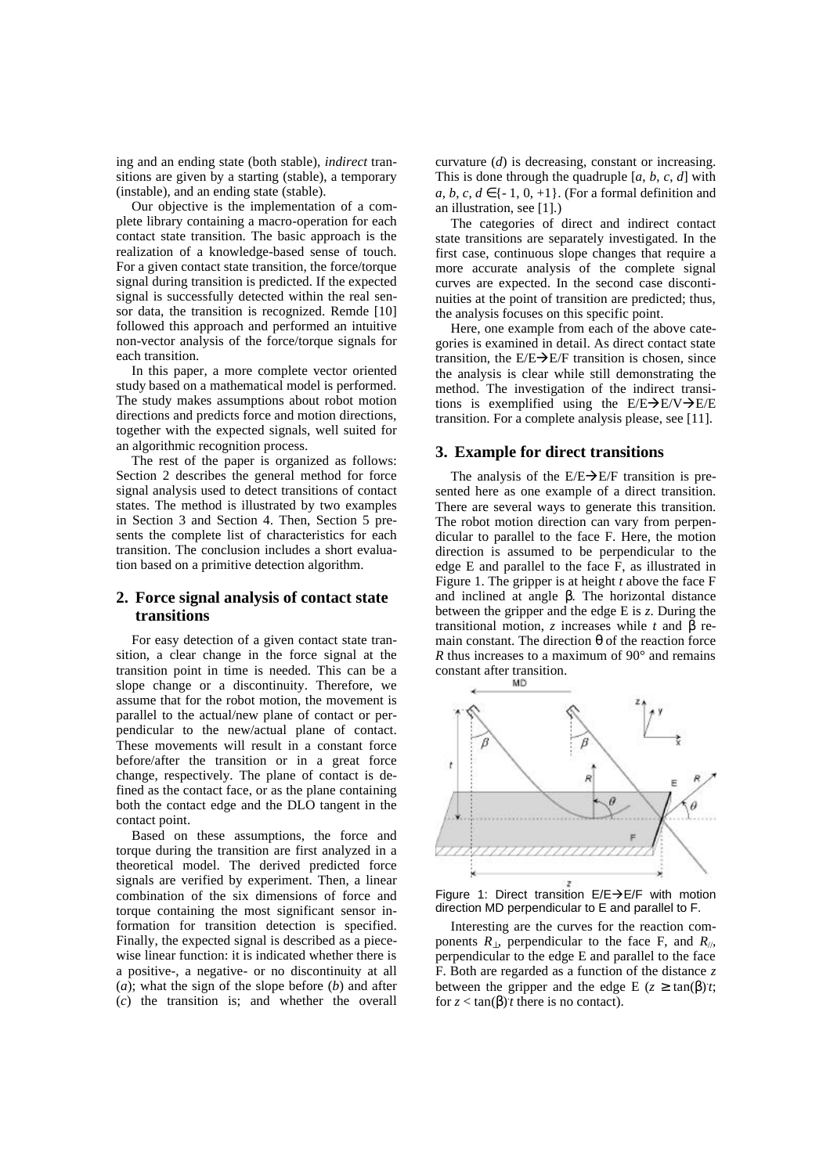ing and an ending state (both stable), *indirect* transitions are given by a starting (stable), a temporary (instable), and an ending state (stable).

Our objective is the implementation of a complete library containing a macro-operation for each contact state transition. The basic approach is the realization of a knowledge-based sense of touch. For a given contact state transition, the force/torque signal during transition is predicted. If the expected signal is successfully detected within the real sensor data, the transition is recognized. Remde [10] followed this approach and performed an intuitive non-vector analysis of the force/torque signals for each transition.

In this paper, a more complete vector oriented study based on a mathematical model is performed. The study makes assumptions about robot motion directions and predicts force and motion directions, together with the expected signals, well suited for an algorithmic recognition process.

The rest of the paper is organized as follows: Section 2 describes the general method for force signal analysis used to detect transitions of contact states. The method is illustrated by two examples in Section 3 and Section 4. Then, Section 5 presents the complete list of characteristics for each transition. The conclusion includes a short evaluation based on a primitive detection algorithm.

# **2. Force signal analysis of contact state transitions**

For easy detection of a given contact state transition, a clear change in the force signal at the transition point in time is needed. This can be a slope change or a discontinuity. Therefore, we assume that for the robot motion, the movement is parallel to the actual/new plane of contact or perpendicular to the new/actual plane of contact. These movements will result in a constant force before/after the transition or in a great force change, respectively. The plane of contact is defined as the contact face, or as the plane containing both the contact edge and the DLO tangent in the contact point.

Based on these assumptions, the force and torque during the transition are first analyzed in a theoretical model. The derived predicted force signals are verified by experiment. Then, a linear combination of the six dimensions of force and torque containing the most significant sensor information for transition detection is specified. Finally, the expected signal is described as a piecewise linear function: it is indicated whether there is a positive-, a negative- or no discontinuity at all (*a*); what the sign of the slope before (*b*) and after (*c*) the transition is; and whether the overall curvature (*d*) is decreasing, constant or increasing. This is done through the quadruple [*a*, *b*, *c*, *d*] with  $a, b, c, d \in \{-1, 0, +1\}$ . (For a formal definition and an illustration, see [1].)

The categories of direct and indirect contact state transitions are separately investigated. In the first case, continuous slope changes that require a more accurate analysis of the complete signal curves are expected. In the second case discontinuities at the point of transition are predicted; thus, the analysis focuses on this specific point.

Here, one example from each of the above categories is examined in detail. As direct contact state transition, the  $E/E\rightarrow E/F$  transition is chosen, since the analysis is clear while still demonstrating the method. The investigation of the indirect transitions is exemplified using the  $E/E\rightarrow E/V\rightarrow E/E$ transition. For a complete analysis please, see [11].

## **3. Example for direct transitions**

The analysis of the  $E/E\rightarrow E/F$  transition is presented here as one example of a direct transition. There are several ways to generate this transition. The robot motion direction can vary from perpendicular to parallel to the face F. Here, the motion direction is assumed to be perpendicular to the edge E and parallel to the face F, as illustrated in Figure 1. The gripper is at height *t* above the face F and inclined at angle *b*. The horizontal distance between the gripper and the edge E is *z*. During the transitional motion, *z* increases while *t* and  $\boldsymbol{b}$  remain constant. The direction *q* of the reaction force *R* thus increases to a maximum of 90° and remains constant after transition.



Figure 1: Direct transition  $E/E\rightarrow E/F$  with motion direction MD perpendicular to E and parallel to F.

Interesting are the curves for the reaction components  $R_{\perp}$ , perpendicular to the face F, and  $R_{\parallel}$ , perpendicular to the edge E and parallel to the face F. Both are regarded as a function of the distance *z* between the gripper and the edge E  $(z \ge \tan(b)t)$ ; for  $z < \tan(b)t$  there is no contact).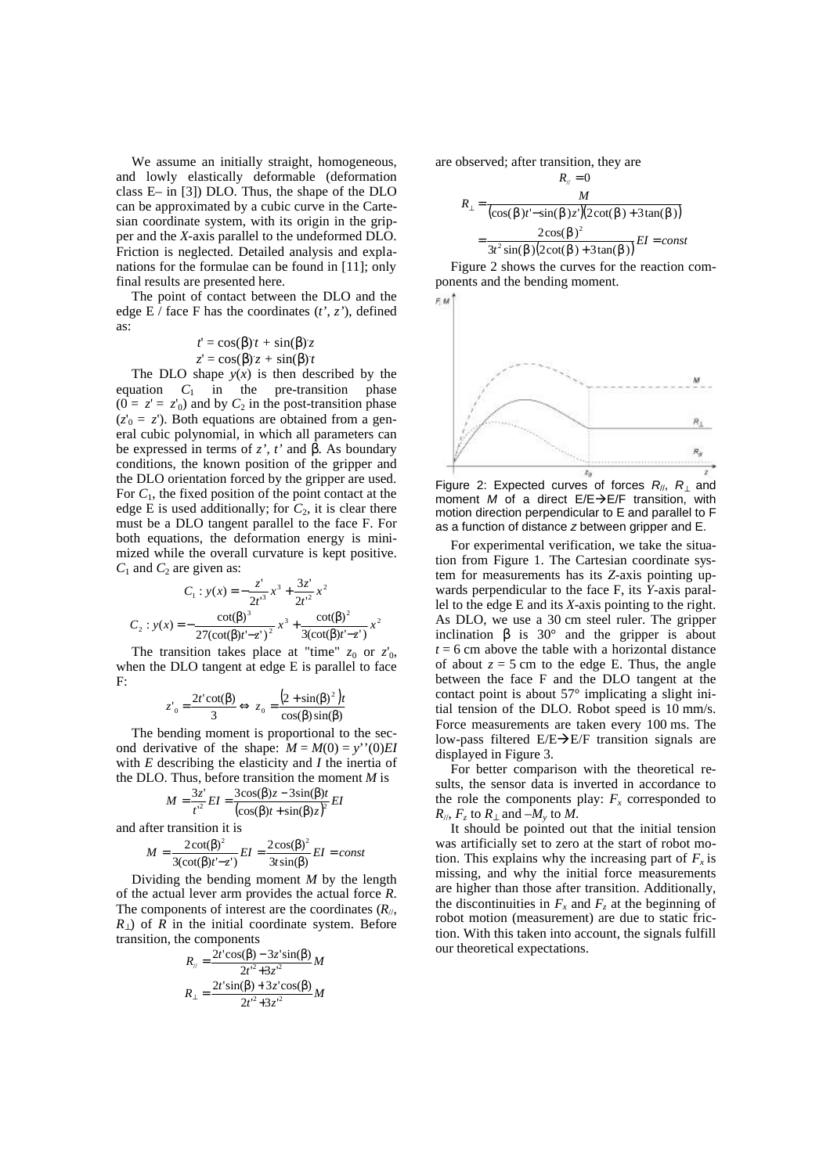We assume an initially straight, homogeneous, and lowly elastically deformable (deformation class E– in [3]) DLO. Thus, the shape of the DLO can be approximated by a cubic curve in the Cartesian coordinate system, with its origin in the gripper and the *X*-axis parallel to the undeformed DLO. Friction is neglected. Detailed analysis and explanations for the formulae can be found in [11]; only final results are presented here.

The point of contact between the DLO and the edge E / face F has the coordinates (*t'*, *z'*), defined as:

$$
t' = \cos(\boldsymbol{b})t + \sin(\boldsymbol{b})z
$$

$$
z' = \cos(\boldsymbol{b}) z + \sin(\boldsymbol{b}) t
$$

The DLO shape  $y(x)$  is then described by the equation  $C_1$  in the pre-transition phase  $(0 = z' = z'_0)$  and by  $C_2$  in the post-transition phase  $(z'_0 = z')$ . Both equations are obtained from a general cubic polynomial, in which all parameters can be expressed in terms of  $z'$ ,  $t'$  and  $\boldsymbol{b}$ . As boundary conditions, the known position of the gripper and the DLO orientation forced by the gripper are used. For *C*1, the fixed position of the point contact at the edge E is used additionally; for  $C_2$ , it is clear there must be a DLO tangent parallel to the face F. For both equations, the deformation energy is minimized while the overall curvature is kept positive.  $C_1$  and  $C_2$  are given as:

$$
C_1: y(x) = -\frac{z'}{2t'^3}x^3 + \frac{3z'}{2t'^2}x^2
$$
  

$$
C_2: y(x) = -\frac{\cot(\beta)^3}{27(\cot(\beta)t'-z')^2}x^3 + \frac{\cot(\beta)^2}{3(\cot(\beta)t'-z')}x^2
$$

The transition takes place at "time"  $z_0$  or  $z'_0$ , when the DLO tangent at edge E is parallel to face F:

$$
z'_{0} = \frac{2t'\cot(\beta)}{3} \Leftrightarrow z_{0} = \frac{(2+\sin(\beta)^{2})t}{\cos(\beta)\sin(\beta)}
$$

The bending moment is proportional to the second derivative of the shape:  $M = M(0) = y''(0)EI$ with *E* describing the elasticity and *I* the inertia of the DLO. Thus, before transition the moment *M* is

$$
M = \frac{3z'}{t'^2} EI = \frac{3\cos(\beta)z - 3\sin(\beta)t}{(\cos(\beta)t + \sin(\beta)z)^2} EI
$$

and after transition it is

$$
M = \frac{2\cot(\beta)^2}{3(\cot(\beta)t' - z')} EI = \frac{2\cos(\beta)^2}{3t\sin(\beta)} EI = const
$$

Dividing the bending moment *M* by the length of the actual lever arm provides the actual force *R*. The components of interest are the coordinates (*R*//,  $R_{\perp}$ ) of  $\overline{R}$  in the initial coordinate system. Before transition, the components

$$
R_{\parallel} = \frac{2t'\cos(\beta) - 3z'\sin(\beta)}{2t'^{2} + 3z'^{2}}M
$$

$$
R_{\perp} = \frac{2t'\sin(\beta) + 3z'\cos(\beta)}{2t'^{2} + 3z'^{2}}M
$$

are observed; after transition, they are

$$
R_{\parallel} = 0
$$
  
\n
$$
R_{\perp} = \frac{M}{(\cos(\mathbf{b})t' - \sin(\mathbf{b})z')(2\cot(\mathbf{b}) + 3\tan(\mathbf{b}))}
$$
  
\n
$$
= \frac{2\cos(\mathbf{b})^2}{3t^2\sin(\mathbf{b})(2\cot(\mathbf{b}) + 3\tan(\mathbf{b}))} EI = const
$$

Figure 2 shows the curves for the reaction components and the bending moment.



Figure 2: Expected curves of forces *R*//, *R*⊥ and moment *M* of a direct  $E/E\rightarrow E/F$  transition, with motion direction perpendicular to E and parallel to F as a function of distance *z* between gripper and E.

For experimental verification, we take the situation from Figure 1. The Cartesian coordinate system for measurements has its *Z*-axis pointing upwards perpendicular to the face F, its *Y*-axis parallel to the edge E and its *X*-axis pointing to the right. As DLO, we use a 30 cm steel ruler. The gripper inclination  $\boldsymbol{b}$  is 30 $^{\circ}$  and the gripper is about  $t = 6$  cm above the table with a horizontal distance of about  $z = 5$  cm to the edge E. Thus, the angle between the face F and the DLO tangent at the contact point is about  $57^\circ$  implicating a slight initial tension of the DLO. Robot speed is 10 mm/s. Force measurements are taken every 100 ms. The low-pass filtered  $E/E\rightarrow E/F$  transition signals are displayed in Figure 3.

For better comparison with the theoretical results, the sensor data is inverted in accordance to the role the components play:  $F_x$  corresponded to  $R_{\parallel}$ ,  $F_z$  to  $R_{\perp}$  and  $-M_y$  to  $M$ .

It should be pointed out that the initial tension was artificially set to zero at the start of robot motion. This explains why the increasing part of  $F_x$  is missing, and why the initial force measurements are higher than those after transition. Additionally, the discontinuities in  $F_x$  and  $F_z$  at the beginning of robot motion (measurement) are due to static friction. With this taken into account, the signals fulfill our theoretical expectations.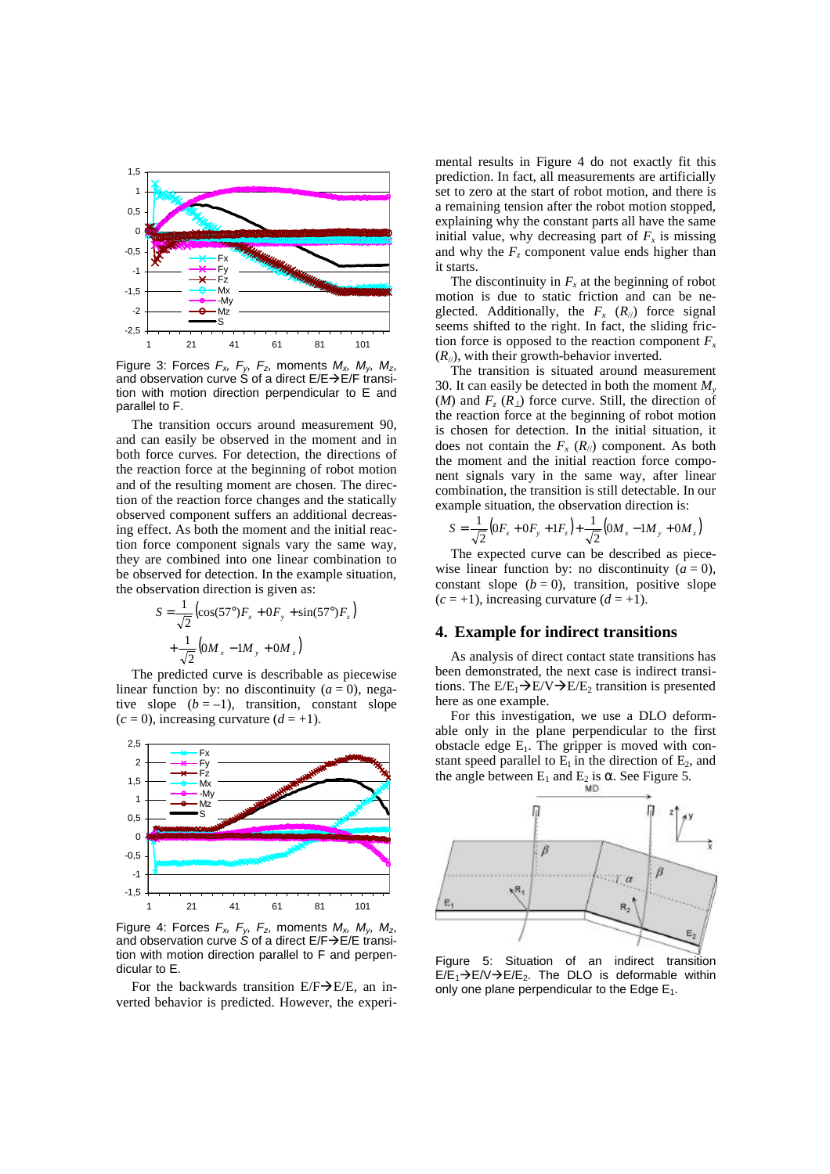

Figure 3: Forces *Fx, Fy, Fz*, moments *Mx, My, Mz*, and observation curve S of a direct  $E/E\rightarrow E/F$  transition with motion direction perpendicular to E and parallel to F.

The transition occurs around measurement 90, and can easily be observed in the moment and in both force curves. For detection, the directions of the reaction force at the beginning of robot motion and of the resulting moment are chosen. The direction of the reaction force changes and the statically observed component suffers an additional decreasing effect. As both the moment and the initial reaction force component signals vary the same way, they are combined into one linear combination to be observed for detection. In the example situation, the observation direction is given as:

$$
S = \frac{1}{\sqrt{2}} \left( \cos(57^\circ) F_x + 0 F_y + \sin(57^\circ) F_z \right)
$$

$$
+ \frac{1}{\sqrt{2}} \left( 0 M_x - 1 M_y + 0 M_z \right)
$$

The predicted curve is describable as piecewise linear function by: no discontinuity  $(a = 0)$ , negative slope  $(b = -1)$ , transition, constant slope  $(c = 0)$ , increasing curvature  $(d = +1)$ .



Figure 4: Forces *Fx, Fy, Fz*, moments *Mx, My, Mz*, and observation curve *S* of a direct E/F→E/E transition with motion direction parallel to F and perpendicular to E.

For the backwards transition  $E/F\rightarrow E/E$ , an inverted behavior is predicted. However, the experimental results in Figure 4 do not exactly fit this prediction. In fact, all measurements are artificially set to zero at the start of robot motion, and there is a remaining tension after the robot motion stopped, explaining why the constant parts all have the same initial value, why decreasing part of  $F_x$  is missing and why the  $F<sub>z</sub>$  component value ends higher than it starts.

The discontinuity in  $F_x$  at the beginning of robot motion is due to static friction and can be neglected. Additionally, the  $F_x$  ( $R_{//}$ ) force signal seems shifted to the right. In fact, the sliding friction force is opposed to the reaction component  $F_x$  $(R_{\ell})$ , with their growth-behavior inverted.

The transition is situated around measurement 30. It can easily be detected in both the moment *M<sup>y</sup>* (*M*) and  $F_z(R_1)$  force curve. Still, the direction of the reaction force at the beginning of robot motion is chosen for detection. In the initial situation, it does not contain the  $F_x$  ( $R_{//}$ ) component. As both the moment and the initial reaction force component signals vary in the same way, after linear combination, the transition is still detectable. In our example situation, the observation direction is:

$$
S = \frac{1}{\sqrt{2}} (0F_x + 0F_y + 1F_z) + \frac{1}{\sqrt{2}} (0M_x - 1M_y + 0M_z)
$$

The expected curve can be described as piecewise linear function by: no discontinuity  $(a = 0)$ , constant slope  $(b = 0)$ , transition, positive slope  $(c = +1)$ , increasing curvature  $(d = +1)$ .

## **4. Example for indirect transitions**

As analysis of direct contact state transitions has been demonstrated, the next case is indirect transitions. The  $E/E_1\rightarrow E/V\rightarrow E/E_2$  transition is presented here as one example.

For this investigation, we use a DLO deformable only in the plane perpendicular to the first obstacle edge  $E_1$ . The gripper is moved with constant speed parallel to  $E_1$  in the direction of  $E_2$ , and the angle between  $E_1$  and  $E_2$  is **a**. See Figure 5.

![](_page_3_Figure_16.jpeg)

Figure 5: Situation of an indirect transition  $E/E_1\rightarrow E/V\rightarrow E/E_2$ . The DLO is deformable within only one plane perpendicular to the Edge  $E_1$ .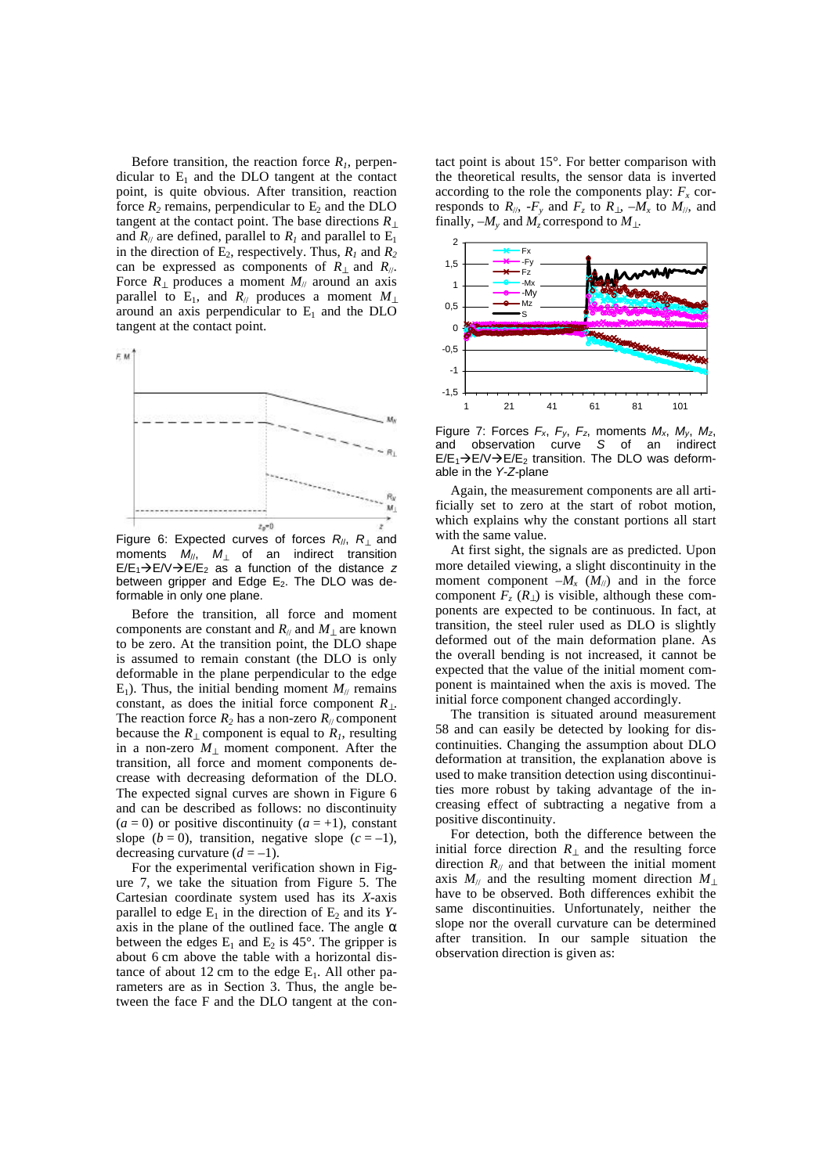Before transition, the reaction force  $R_1$ , perpendicular to  $E_1$  and the DLO tangent at the contact point, is quite obvious. After transition, reaction force  $R_2$  remains, perpendicular to  $E_2$  and the DLO tangent at the contact point. The base directions  $R_{\perp}$ and  $R_{\text{II}}$  are defined, parallel to  $R_{\text{I}}$  and parallel to  $E_{\text{I}}$ in the direction of  $E_2$ , respectively. Thus,  $R_1$  and  $R_2$ can be expressed as components of  $R_{\perp}$  and  $R_{\parallel}$ . Force  $R_{\perp}$  produces a moment  $M_{\parallel}$  around an axis parallel to E<sub>1</sub>, and  $R$ <sup>*|*</sup> produces a moment  $M$ <sup>*|*</sup> around an axis perpendicular to  $E_1$  and the DLO tangent at the contact point.

![](_page_4_Figure_1.jpeg)

Figure 6: Expected curves of forces *R*//, *R*⊥ and moments *M*//, *M*⊥ of an indirect transition  $E/E_1\rightarrow E/V\rightarrow E/E_2$  as a function of the distance *z* between gripper and Edge  $E_2$ . The DLO was deformable in only one plane.

Before the transition, all force and moment components are constant and  $R_{\text{II}}$  and  $M_{\text{II}}$  are known to be zero. At the transition point, the DLO shape is assumed to remain constant (the DLO is only deformable in the plane perpendicular to the edge  $E_1$ ). Thus, the initial bending moment  $M_{\ell\ell}$  remains constant, as does the initial force component  $R_{\perp}$ . The reaction force  $R_2$  has a non-zero  $R_1$  component because the  $R_{\perp}$  component is equal to  $R_I$ , resulting in a non-zero *M*⊥ moment component. After the transition, all force and moment components decrease with decreasing deformation of the DLO. The expected signal curves are shown in Figure 6 and can be described as follows: no discontinuity  $(a = 0)$  or positive discontinuity  $(a = +1)$ , constant slope  $(b = 0)$ , transition, negative slope  $(c = -1)$ , decreasing curvature  $(d = -1)$ .

For the experimental verification shown in Figure 7, we take the situation from Figure 5. The Cartesian coordinate system used has its *X*-axis parallel to edge  $E_1$  in the direction of  $E_2$  and its *Y*axis in the plane of the outlined face. The angle *a* between the edges  $E_1$  and  $E_2$  is 45°. The gripper is about 6 cm above the table with a horizontal distance of about 12 cm to the edge  $E_1$ . All other parameters are as in Section 3. Thus, the angle between the face F and the DLO tangent at the contact point is about 15°. For better comparison with the theoretical results, the sensor data is inverted according to the role the components play:  $F_x$  corresponds to  $R_{\textit{1}},$  *-F*<sub>y</sub> and  $F_z$  to  $R_{\textit{1}},$  *-M*<sub>x</sub> to  $M_{\textit{1}},$  and finally,  $-M$ <sup>*y*</sup> and  $M$ <sup>*z*</sup> correspond to  $M$ <sub>1</sub>.

![](_page_4_Figure_6.jpeg)

Figure 7: Forces *Fx*, *Fy*, *Fz*, moments *Mx*, *My*, *Mz*, and observation curve *S* of an indirect  $E/E_1\rightarrow E/V\rightarrow E/E_2$  transition. The DLO was deformable in the *Y*-*Z*-plane

Again, the measurement components are all artificially set to zero at the start of robot motion, which explains why the constant portions all start with the same value.

At first sight, the signals are as predicted. Upon more detailed viewing, a slight discontinuity in the moment component  $-M_x$  ( $M_{\text{N}}$ ) and in the force component  $F_z(R_{\perp})$  is visible, although these components are expected to be continuous. In fact, at transition, the steel ruler used as DLO is slightly deformed out of the main deformation plane. As the overall bending is not increased, it cannot be expected that the value of the initial moment component is maintained when the axis is moved. The initial force component changed accordingly.

The transition is situated around measurement 58 and can easily be detected by looking for discontinuities. Changing the assumption about DLO deformation at transition, the explanation above is used to make transition detection using discontinuities more robust by taking advantage of the increasing effect of subtracting a negative from a positive discontinuity.

For detection, both the difference between the initial force direction  $R_1$  and the resulting force direction  $R_{\ell}$  and that between the initial moment axis *M*// and the resulting moment direction *M*<sup>⊥</sup> have to be observed. Both differences exhibit the same discontinuities. Unfortunately, neither the slope nor the overall curvature can be determined after transition. In our sample situation the observation direction is given as: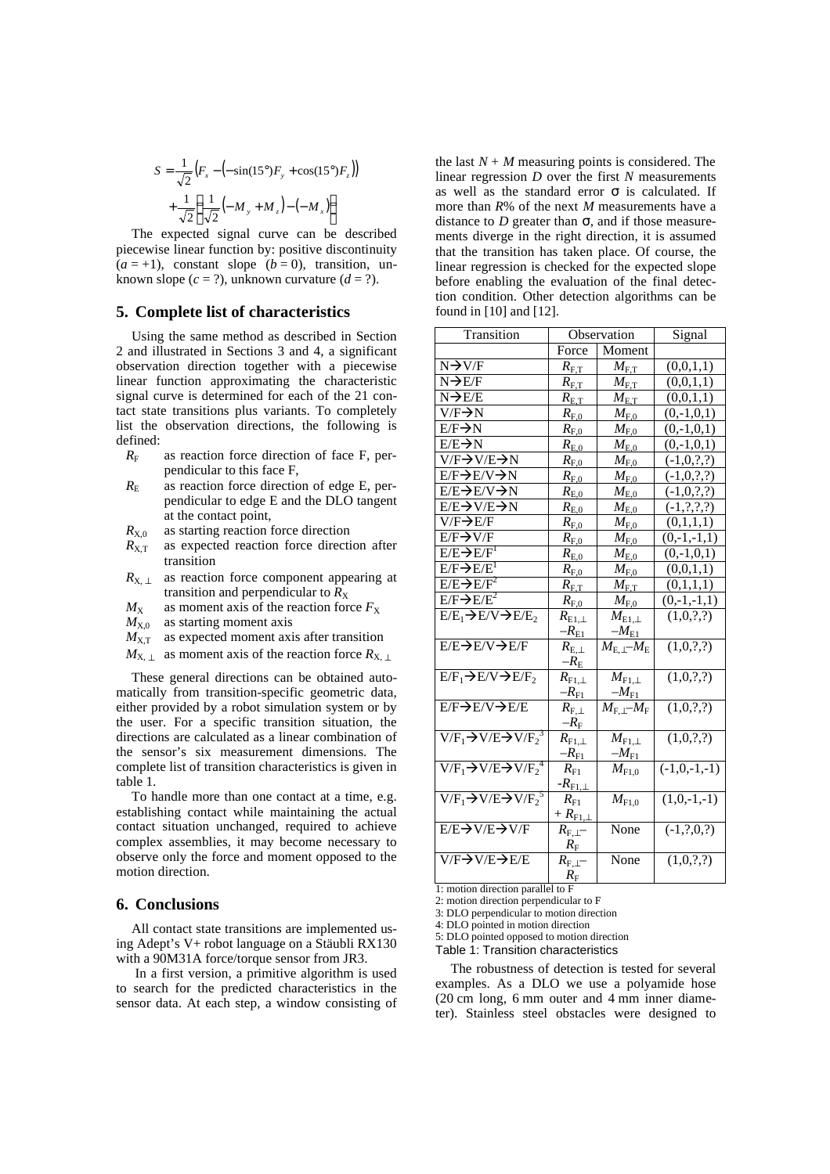$$
S = \frac{1}{\sqrt{2}} (F_x - (-\sin(15^\circ)F_y + \cos(15^\circ)F_z))
$$
  
+ 
$$
\frac{1}{\sqrt{2}} (\frac{1}{\sqrt{2}} (-M_y + M_z) - (-M_x))
$$

The expected signal curve can be described piecewise linear function by: positive discontinuity  $(a = +1)$ , constant slope  $(b = 0)$ , transition, unknown slope  $(c = ?)$ , unknown curvature  $(d = ?)$ .

#### **5. Complete list of characteristics**

Using the same method as described in Section 2 and illustrated in Sections 3 and 4, a significant observation direction together with a piecewise linear function approximating the characteristic signal curve is determined for each of the 21 contact state transitions plus variants. To completely list the observation directions, the following is defined:

- $R_F$  as reaction force direction of face F, perpendicular to this face F,
- $R<sub>E</sub>$  as reaction force direction of edge E, perpendicular to edge E and the DLO tangent at the contact point,
- $R_{X,0}$  as starting reaction force direction
- $R_{X,T}$  as expected reaction force direction after transition
- $R_{X, \perp}$  as reaction force component appearing at transition and perpendicular to  $R_X$
- $M_X$  as moment axis of the reaction force  $F_X$
- $M_{X,0}$  as starting moment axis
- $M_{X,T}$  as expected moment axis after transition
- $M_{X, \perp}$  as moment axis of the reaction force  $R_{X, \perp}$

These general directions can be obtained automatically from transition-specific geometric data, either provided by a robot simulation system or by the user. For a specific transition situation, the directions are calculated as a linear combination of the sensor's six measurement dimensions. The complete list of transition characteristics is given in table 1.

To handle more than one contact at a time, e.g. establishing contact while maintaining the actual contact situation unchanged, required to achieve complex assemblies, it may become necessary to observe only the force and moment opposed to the motion direction.

### **6. Conclusions**

All contact state transitions are implemented using Adept's V+ robot language on a Stäubli RX130 with a 90M31A force/torque sensor from JR3.

 In a first version, a primitive algorithm is used to search for the predicted characteristics in the sensor data. At each step, a window consisting of the last  $N + M$  measuring points is considered. The linear regression *D* over the first *N* measurements as well as the standard error *s* is calculated. If more than *R*% of the next *M* measurements have a distance to *D* greater than *s*, and if those measurements diverge in the right direction, it is assumed that the transition has taken place. Of course, the linear regression is checked for the expected slope before enabling the evaluation of the final detection condition. Other detection algorithms can be found in [10] and [12].

| Transition                                     | Observation             |                                       | Signal                    |
|------------------------------------------------|-------------------------|---------------------------------------|---------------------------|
|                                                | Force                   | Moment                                |                           |
| $N \rightarrow V/F$                            | $R_{\mathrm{F,T}}$      | $M_{\rm F,T}$                         | (0,0,1,1)                 |
| $N \rightarrow E/F$                            | $R_{\rm F,T}$           | $M_{\mathrm{F,T}}$                    | (0,0,1,1)                 |
| $N \rightarrow E/E$                            | $R_{\rm E,T}$           | $M_{\text{E,T}}$                      | (0,0,1,1)                 |
| $V/F\rightarrow N$                             | $R_{F,0}$               | $M_{\mathrm{F},0}$                    | $(0,-1,0,1)$              |
| $E/F\rightarrow N$                             | $R_{\rm F,0}$           | $M_{\rm F,0}$                         | $(0,-1,0,1)$              |
| $E/E \rightarrow N$                            | $R_{\rm E,0}$           | $M_{\rm E,0}$                         | $(0,-1,0,1)$              |
| $\overline{V/F} \rightarrow V/E \rightarrow N$ | $R_{\mathrm{F},0}$      | $M_{\rm E,0}$                         | $(-1,0,?,?)$              |
| E/F→E/V→N                                      | $R_{\mathrm{F},0}$      | $M_{\mathrm{F},0}$                    | $(-1,0,?,?)$              |
| E/E→E/V→N                                      | $R_{\rm E,0}$           | $M_{\rm E,0}$                         | $(-1,0,?,?)$              |
| E/E→V/E→N                                      | $R_{\rm E,0}$           | $M_{\rm E,0}$                         | $(-1, ?, ?, ?)$           |
| $V/F\rightarrow E/F$                           | $R_{\rm F,0}$           | $M_\mathrm{F,0}$                      | (0,1,1,1)                 |
| $E/F \rightarrow V/F$                          | $R_{\rm F,0}$           | $M_{\rm F,0}$                         | $(0,-1,-1,1)$             |
| $E/E \rightarrow E/F1$                         | $R_{\rm E,0}$           | $M_{\rm E,0}$                         | $(0,-1,0,1)$              |
| $E/F \rightarrow E/E1$                         | $R_{\rm F,0}$           | $M_{\rm F,0}$                         | (0,0,1,1)                 |
| $E/E \rightarrow E/F^2$                        | $R_{\rm E,T}$           | $M_{\rm F,T}$                         | $(0,1,\underline{1},1)$   |
| $E/F \rightarrow E/E^2$                        | $R_{\rm F,0}$           | $M_{\rm E,0}$                         | $(0,-1,-1,1)$             |
| $E/E_1 \rightarrow E/V \rightarrow E/E_2$      | $R_{\mathrm{E1},\perp}$ | $M_{\rm E1,\perp}$                    | (1,0,?,?)                 |
|                                                | $-R_{E1}$               | $-M_{\rm E1}$                         |                           |
| E/E→E/V→E/F                                    | $R_{\rm E,\perp}$       | $M_{\rm E, \perp}$ – $M_{\rm E}$      | (1,0,?,?)                 |
|                                                | $-R_{\rm E}$            |                                       |                           |
| $E/F_1 \rightarrow E/V \rightarrow E/F_2$      | $R_{\mathrm{F}1,\perp}$ | $M_{\rm F1, \perp}$                   | (1,0,?,?)                 |
|                                                | $-R_{F1}$               | $-M_{\rm F1}$                         |                           |
| E/F→E/V→E/E                                    | $R_{\rm F, \perp}$      | $M_{\text{F},\perp}$ - $M_{\text{F}}$ | (1,0,?,?)                 |
|                                                | $-R_{\rm F}$            |                                       |                           |
| $V/F_1 \rightarrow V/E \rightarrow V/F_2^3$    | $R_{\mathrm{F1},\perp}$ | $M_{\rm F1, \perp}$                   | (1,0,?,?)                 |
|                                                | $-R_{\rm F1}$           | $-M_{\rm F1}$                         |                           |
| $V/F_1 \rightarrow V/E \rightarrow V/F_2^4$    | $R_{\rm F1}$            | $M_{\rm F1,0}$                        | $\overline{(-1,0,-1,-1)}$ |
|                                                | - $R_{\rm F1,\perp}$    |                                       |                           |
| $V/F_1 \rightarrow V/E \rightarrow V/F_2^5$    | $R_{\rm Fl}$            | $M_{\mathrm{F1.0}}$                   | $(1,0,-1,-1)$             |
|                                                | $+ R_{\rm F1,L}$        |                                       |                           |
| E/E→V/E→V/F                                    | $R_{\rm F, \perp}$ -    | None                                  | $(-1,?,0,?)$              |
| V/F→V/E→E/E                                    | $R_{\rm F}$             | None                                  |                           |
|                                                | $R_{\rm F, \perp}$ –    |                                       | (1,0,?,?)                 |
|                                                | $R_{\rm F}$             |                                       |                           |

1: motion direction parallel to F

2: motion direction perpendicular to F 3: DLO perpendicular to motion direction

4: DLO pointed in motion direction

5: DLO pointed opposed to motion direction

Table 1: Transition characteristics

The robustness of detection is tested for several examples. As a DLO we use a polyamide hose (20 cm long, 6 mm outer and 4 mm inner diameter). Stainless steel obstacles were designed to